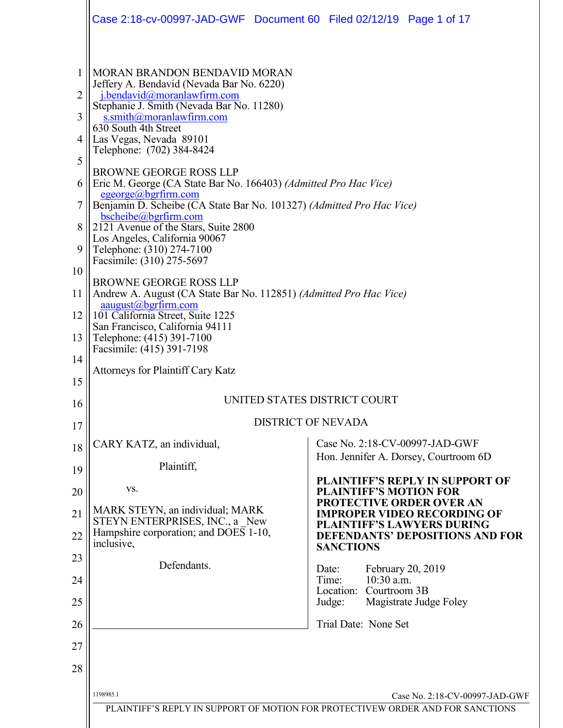<span id="page-0-0"></span>

|          | Case 2:18-cv-00997-JAD-GWF Document 60 Filed 02/12/19 Page 1 of 17                                                              |                                                                                |  |
|----------|---------------------------------------------------------------------------------------------------------------------------------|--------------------------------------------------------------------------------|--|
| 1<br>2   | MORAN BRANDON BENDAVID MORAN<br>Jeffery A. Bendavid (Nevada Bar No. 6220)<br>j.bendavid@moranlawfirm.com                        |                                                                                |  |
| 3        | Stephanie J. Smith (Nevada Bar No. 11280)<br>s.smith@moranlawfirm.com                                                           |                                                                                |  |
| 4        | 630 South 4th Street<br>Las Vegas, Nevada 89101<br>Telephone: (702) 384-8424                                                    |                                                                                |  |
| 5        | <b>BROWNE GEORGE ROSS LLP</b>                                                                                                   |                                                                                |  |
| 6        | Eric M. George (CA State Bar No. 166403) (Admitted Pro Hac Vice)<br>$egeorge(a)$ bgrfirm.com                                    |                                                                                |  |
| 7<br>8   | Benjamin D. Scheibe (CA State Bar No. 101327) (Admitted Pro Hac Vice)<br>bscheibe@bgrfirm.com                                   |                                                                                |  |
| 9        | 2121 Avenue of the Stars, Suite 2800<br>Los Angeles, California 90067<br>Telephone: (310) 274-7100<br>Facsimile: (310) 275-5697 |                                                                                |  |
| 10       | <b>BROWNE GEORGE ROSS LLP</b>                                                                                                   |                                                                                |  |
| 11       | Andrew A. August (CA State Bar No. 112851) (Admitted Pro Hac Vice)<br>aaugust@bgrfirm.com                                       |                                                                                |  |
| 12       | 101 California Street, Suite 1225<br>San Francisco, California 94111                                                            |                                                                                |  |
| 13<br>14 | Telephone: (415) 391-7100<br>Facsimile: (415) 391-7198                                                                          |                                                                                |  |
| 15       | Attorneys for Plaintiff Cary Katz                                                                                               |                                                                                |  |
| 16       | UNITED STATES DISTRICT COURT                                                                                                    |                                                                                |  |
| 17       |                                                                                                                                 | <b>DISTRICT OF NEVADA</b>                                                      |  |
| 18       | CARY KATZ, an individual,                                                                                                       | Case No. 2:18-CV-00997-JAD-GWF<br>Hon. Jennifer A. Dorsey, Courtroom 6D        |  |
| 19       | Plaintiff,                                                                                                                      | PLAINTIFF'S REPLY IN SUPPORT OF                                                |  |
| 20       | VS.                                                                                                                             | <b>PLAINTIFF'S MOTION FOR</b><br><b>PROTECTIVE ORDER OVER AN</b>               |  |
| 21       | MARK STEYN, an individual; MARK<br>STEYN ENTERPRISES, INC., a New<br>Hampshire corporation; and DOES 1-10,                      | <b>IMPROPER VIDEO RECORDING OF</b><br><b>PLAINTIFF'S LAWYERS DURING</b>        |  |
| 22       | inclusive,                                                                                                                      | <b>DEFENDANTS' DEPOSITIONS AND FOR</b><br><b>SANCTIONS</b>                     |  |
| 23<br>24 | Defendants.                                                                                                                     | Date:<br>February 20, 2019<br>10:30 a.m.<br>Time:                              |  |
| 25       |                                                                                                                                 | Location:<br>Courtroom 3B<br>Magistrate Judge Foley<br>Judge:                  |  |
| 26       |                                                                                                                                 | Trial Date: None Set                                                           |  |
| 27       |                                                                                                                                 |                                                                                |  |
| 28       |                                                                                                                                 |                                                                                |  |
|          | 1198985.1                                                                                                                       | Case No. 2:18-CV-00997-JAD-GWF                                                 |  |
|          |                                                                                                                                 | PLAINTIFF'S REPLY IN SUPPORT OF MOTION FOR PROTECTIVEW ORDER AND FOR SANCTIONS |  |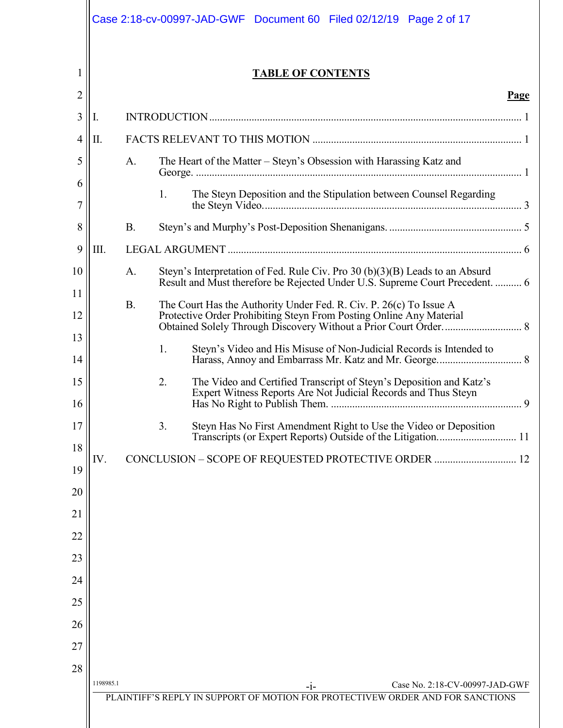|          |           |                                                      |    | Case 2:18-cv-00997-JAD-GWF Document 60 Filed 02/12/19 Page 2 of 17                                                                                            |  |
|----------|-----------|------------------------------------------------------|----|---------------------------------------------------------------------------------------------------------------------------------------------------------------|--|
| 1        |           |                                                      |    | <b>TABLE OF CONTENTS</b>                                                                                                                                      |  |
| 2<br>3   |           |                                                      |    | Page                                                                                                                                                          |  |
| 4        | Ι.<br>П.  |                                                      |    |                                                                                                                                                               |  |
| 5        |           | A.                                                   |    | The Heart of the Matter – Steyn's Obsession with Harassing Katz and                                                                                           |  |
| 6        |           |                                                      |    |                                                                                                                                                               |  |
| 7        |           |                                                      | 1. | The Steyn Deposition and the Stipulation between Counsel Regarding                                                                                            |  |
| 8        |           | <b>B.</b>                                            |    |                                                                                                                                                               |  |
| 9        | III.      |                                                      |    |                                                                                                                                                               |  |
| 10       |           | A.                                                   |    | Steyn's Interpretation of Fed. Rule Civ. Pro $30(b)(3)(B)$ Leads to an Absurd<br>Result and Must therefore be Rejected Under U.S. Supreme Court Precedent.  6 |  |
| 11       |           | <b>B.</b>                                            |    | The Court Has the Authority Under Fed. R. Civ. P. 26(c) To Issue A                                                                                            |  |
| 12       |           |                                                      |    | Protective Order Prohibiting Steyn From Posting Online Any Material                                                                                           |  |
| 13       |           |                                                      | 1. | Steyn's Video and His Misuse of Non-Judicial Records is Intended to                                                                                           |  |
| 14       |           |                                                      |    |                                                                                                                                                               |  |
| 15<br>16 |           |                                                      | 2. | The Video and Certified Transcript of Steyn's Deposition and Katz's<br>Expert Witness Reports Are Not Judicial Records and Thus Steyn                         |  |
| 17       |           |                                                      | 3. | Steyn Has No First Amendment Right to Use the Video or Deposition<br>Transcripts (or Expert Reports) Outside of the Litigation 11                             |  |
| 18       | IV.       | CONCLUSION - SCOPE OF REQUESTED PROTECTIVE ORDER  12 |    |                                                                                                                                                               |  |
| 19       |           |                                                      |    |                                                                                                                                                               |  |
| 20       |           |                                                      |    |                                                                                                                                                               |  |
| 21       |           |                                                      |    |                                                                                                                                                               |  |
| 22       |           |                                                      |    |                                                                                                                                                               |  |
| 23<br>24 |           |                                                      |    |                                                                                                                                                               |  |
| 25       |           |                                                      |    |                                                                                                                                                               |  |
| 26       |           |                                                      |    |                                                                                                                                                               |  |
| 27       |           |                                                      |    |                                                                                                                                                               |  |
| 28       |           |                                                      |    |                                                                                                                                                               |  |
|          | 1198985.1 |                                                      |    | Case No. 2:18-CV-00997-JAD-GWF<br>$-1-$<br>PLAINTIFF'S REPLY IN SUPPORT OF MOTION FOR PROTECTIVEW ORDER AND FOR SANCTIONS                                     |  |
|          |           |                                                      |    |                                                                                                                                                               |  |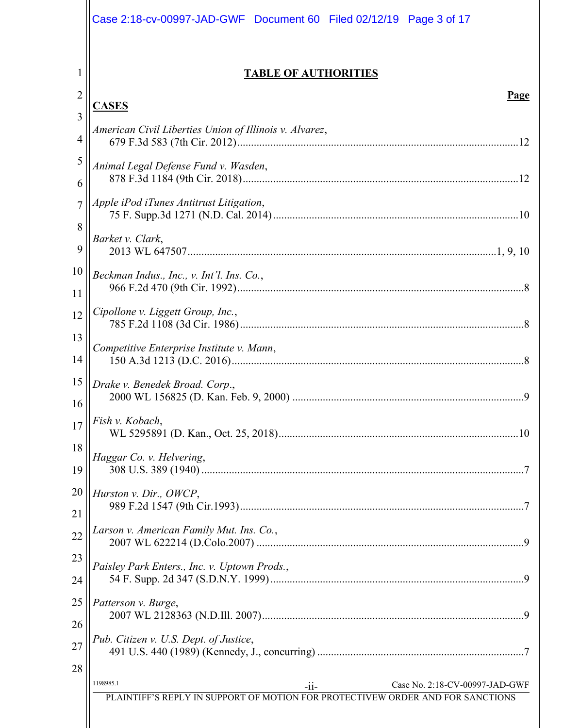|                | Case 2:18-cv-00997-JAD-GWF Document 60 Filed 02/12/19 Page 3 of 17             |
|----------------|--------------------------------------------------------------------------------|
|                | <b>TABLE OF AUTHORITIES</b>                                                    |
| $\overline{c}$ | Page                                                                           |
| 3              | <b>CASES</b>                                                                   |
| 4              | American Civil Liberties Union of Illinois v. Alvarez,                         |
| 5              | Animal Legal Defense Fund v. Wasden,                                           |
| 6              |                                                                                |
| $\overline{7}$ | Apple iPod iTunes Antitrust Litigation,                                        |
| 8              | Barket v. Clark,                                                               |
| 9              |                                                                                |
| 10             | Beckman Indus., Inc., v. Int'l. Ins. Co.,                                      |
| 11             |                                                                                |
| 12             | Cipollone v. Liggett Group, Inc.,                                              |
| 13             | Competitive Enterprise Institute v. Mann,                                      |
| 14             |                                                                                |
| 15             | Drake v. Benedek Broad. Corp.,                                                 |
| 16             |                                                                                |
| 17             | Fish v. Kobach,                                                                |
| 18             | Haggar Co. v. Helvering,                                                       |
| 19             |                                                                                |
| 20             | Hurston v. Dir., OWCP,                                                         |
| 21             |                                                                                |
| 22             | Larson v. American Family Mut. Ins. Co.,                                       |
| 23             | Paisley Park Enters., Inc. v. Uptown Prods.,                                   |
| 24             |                                                                                |
| 25             | Patterson v. Burge,                                                            |
| 26             |                                                                                |
| 27             | Pub. Citizen v. U.S. Dept. of Justice,                                         |
| 28             | 1198985.1<br>Case No. 2:18-CV-00997-JAD-GWF<br>$-11-$                          |
|                | PLAINTIFF'S REPLY IN SUPPORT OF MOTION FOR PROTECTIVEW ORDER AND FOR SANCTIONS |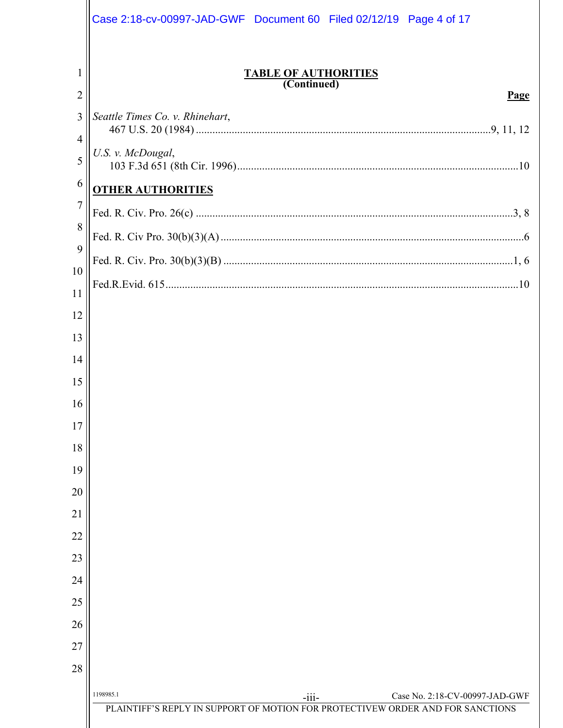|                | Case 2:18-cv-00997-JAD-GWF Document 60 Filed 02/12/19 Page 4 of 17                         |
|----------------|--------------------------------------------------------------------------------------------|
| 1              | <b>TABLE OF AUTHORITIES</b><br>(Continued)                                                 |
| $\overline{2}$ | Page                                                                                       |
| 3              | Seattle Times Co. v. Rhinehart,                                                            |
| 4<br>5         | U.S. v. McDougal,                                                                          |
| 6              |                                                                                            |
| $\overline{7}$ | <b>OTHER AUTHORITIES</b>                                                                   |
| 8              |                                                                                            |
| 9              |                                                                                            |
| 10             |                                                                                            |
| 11             |                                                                                            |
| 12             |                                                                                            |
| 13             |                                                                                            |
| 14             |                                                                                            |
| 15             |                                                                                            |
| 16             |                                                                                            |
| 17             |                                                                                            |
| 18             |                                                                                            |
| 19             |                                                                                            |
| 20             |                                                                                            |
| 21             |                                                                                            |
| 22             |                                                                                            |
| 23             |                                                                                            |
| 24             |                                                                                            |
| 25             |                                                                                            |
| 26             |                                                                                            |
| 27             |                                                                                            |
| 28             |                                                                                            |
|                | 1198985.1<br>Case No. 2:18-CV-00997-JAD-GWF                                                |
|                | $-iii -$<br>PLAINTIFF'S REPLY IN SUPPORT OF MOTION FOR PROTECTIVEW ORDER AND FOR SANCTIONS |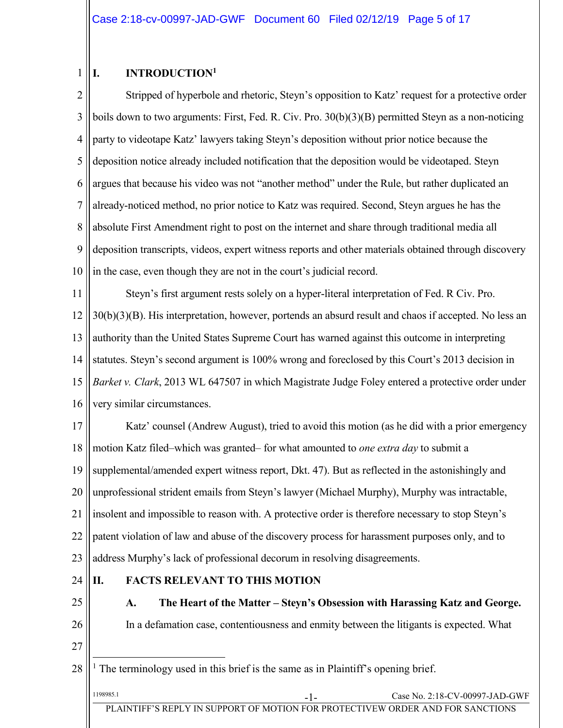#### <span id="page-4-4"></span><span id="page-4-0"></span>1 **I. INTRODUCTION<sup>1</sup>**

2 3 4 5 6 7 8 9 10 Stripped of hyperbole and rhetoric, Steyn's opposition to Katz' request for a protective order boils down to two arguments: First, Fed. R. Civ. Pro. 30(b)(3)(B) permitted Steyn as a non-noticing party to videotape Katz' lawyers taking Steyn's deposition without prior notice because the deposition notice already included notification that the deposition would be videotaped. Steyn argues that because his video was not "another method" under the Rule, but rather duplicated an already-noticed method, no prior notice to Katz was required. Second, Steyn argues he has the absolute First Amendment right to post on the internet and share through traditional media all deposition transcripts, videos, expert witness reports and other materials obtained through discovery in the case, even though they are not in the court's judicial record.

11 12 13 14 15 16 Steyn's first argument rests solely on a hyper-literal interpretation of Fed. R Civ. Pro. 30(b)(3)(B). His interpretation, however, portends an absurd result and chaos if accepted. No less an authority than the United States Supreme Court has warned against this outcome in interpreting statutes. Steyn's second argument is 100% wrong and foreclosed by this Court's 2013 decision in *Barket v. Clark*, 2013 WL 647507 in which Magistrate Judge Foley entered a protective order under very similar circumstances.

<span id="page-4-3"></span>17 18 19 20 21 22 23 Katz' counsel (Andrew August), tried to avoid this motion (as he did with a prior emergency motion Katz filed–which was granted– for what amounted to *one extra day* to submit a supplemental/amended expert witness report, Dkt. 47). But as reflected in the astonishingly and unprofessional strident emails from Steyn's lawyer (Michael Murphy), Murphy was intractable, insolent and impossible to reason with. A protective order is therefore necessary to stop Steyn's patent violation of law and abuse of the discovery process for harassment purposes only, and to address Murphy's lack of professional decorum in resolving disagreements.

24

# <span id="page-4-1"></span>**II. FACTS RELEVANT TO THIS MOTION**

<span id="page-4-2"></span>25 26 **A. The Heart of the Matter – Steyn's Obsession with Harassing Katz and George.**  In a defamation case, contentiousness and enmity between the litigants is expected. What

27

 $\overline{a}$ 

28 <sup>1</sup> The terminology used in this brief is the same as in Plaintiff's opening brief.

| 1198985.1 | - 1 -                                                                          | Case No. 2:18-CV-00997-JAD-GWF |
|-----------|--------------------------------------------------------------------------------|--------------------------------|
|           | PLAINTIFF'S REPLY IN SUPPORT OF MOTION FOR PROTECTIVEW ORDER AND FOR SANCTIONS |                                |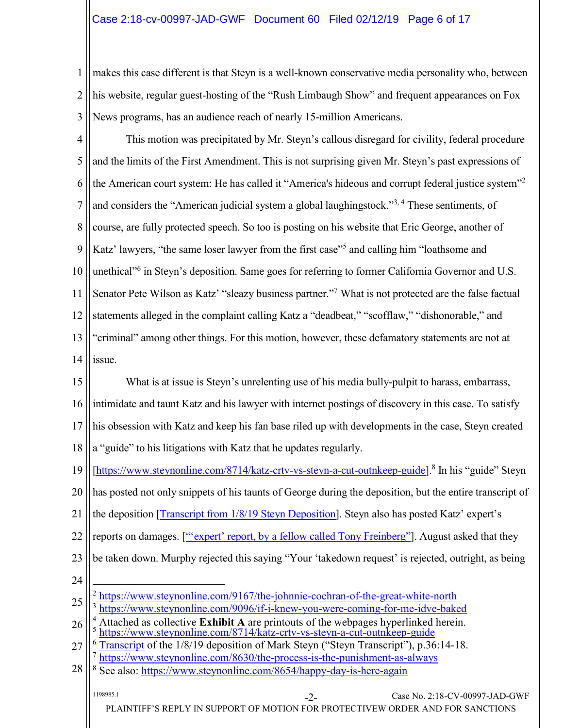# Case 2:18-cv-00997-JAD-GWF Document 60 Filed 02/12/19 Page 6 of 17

1 2 3 makes this case different is that Steyn is a well-known conservative media personality who, between his website, regular guest-hosting of the "Rush Limbaugh Show" and frequent appearances on Fox News programs, has an audience reach of nearly 15-million Americans.

- 4 5 6 7 8 9 10 11 12 13 14 This motion was precipitated by Mr. Steyn's callous disregard for civility, federal procedure and the limits of the First Amendment. This is not surprising given Mr. Steyn's past expressions of the American court system: He has called it "America's hideous and corrupt federal justice system"<sup>2</sup> and considers the "American judicial system a global laughingstock."3, <sup>4</sup> These sentiments, of course, are fully protected speech. So too is posting on his website that Eric George, another of Katz' lawyers, "the same loser lawyer from the first case"<sup>5</sup> and calling him "loathsome and unethical"<sup>6</sup> in Steyn's deposition. Same goes for referring to former California Governor and U.S. Senator Pete Wilson as Katz' "sleazy business partner."<sup>7</sup> What is not protected are the false factual statements alleged in the complaint calling Katz a "deadbeat," "scofflaw," "dishonorable," and "criminal" among other things. For this motion, however, these defamatory statements are not at issue.
- 15 16 17 18 19 20 21 22 23 24 25 26 27 28 1198985.1 Case No. 2:18-CV-00997-JAD-GWF PLAINTIFF'S REPLY IN SUPPORT OF MOTION FOR PROTECTIVEW ORDER AND FOR SANCTIONS What is at issue is Steyn's unrelenting use of his media bully-pulpit to harass, embarrass, intimidate and taunt Katz and his lawyer with internet postings of discovery in this case. To satisfy his obsession with Katz and keep his fan base riled up with developments in the case, Steyn created a "guide" to his litigations with Katz that he updates regularly. [\[https://www.steynonline.com/8714/katz-crtv-vs-steyn-a-cut-outnkeep-guide\]](https://www.steynonline.com/8714/katz-crtv-vs-steyn-a-cut-outnkeep-guide).<sup>8</sup> In his "guide" Steyn has posted not only snippets of his taunts of George during the deposition, but the entire transcript of the deposition [\[Transcript from 1/8/19 Steyn Deposition\]](https://www.steynonline.com/documents/9152.pdf). Steyn also has posted Katz' expert's reports on damages. ["'expert' [report, by a fellow called Tony Freinberg](https://www.steynonline.com/documents/9169.pdf)"]. August asked that they be taken down. Murphy rejected this saying "Your 'takedown request' is rejected, outright, as being  $\overline{a}$ <sup>2</sup> <https://www.steynonline.com/9167/the-johnnie-cochran-of-the-great-white-north> 3 <https://www.steynonline.com/9096/if-i-knew-you-were-coming-for-me-idve-baked> <sup>4</sup> Attached as collective **Exhibit A** are printouts of the webpages hyperlinked herein. 5 <https://www.steynonline.com/8714/katz-crtv-vs-steyn-a-cut-outnkeep-guide> [Transcript](https://www.steynonline.com/documents/9152.pdf) of the 1/8/19 deposition of Mark Steyn ("Steyn Transcript"), p.36:14-18. 7 <https://www.steynonline.com/8630/the-process-is-the-punishment-as-always> <sup>8</sup> See also:<https://www.steynonline.com/8654/happy-day-is-here-again>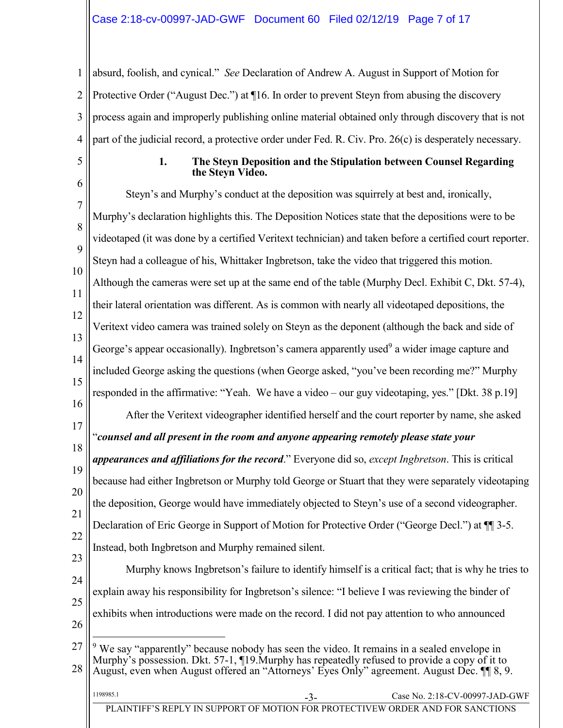1 2 3 4 absurd, foolish, and cynical." *See* Declaration of Andrew A. August in Support of Motion for Protective Order ("August Dec.") at ¶16. In order to prevent Steyn from abusing the discovery process again and improperly publishing online material obtained only through discovery that is not part of the judicial record, a protective order under Fed. R. Civ. Pro. 26(c) is desperately necessary.

<span id="page-6-0"></span>5

#### <span id="page-6-1"></span>**1. The Steyn Deposition and the Stipulation between Counsel Regarding the Steyn Video.**

6 7 8 9 10 11 12 13 14 15 16 17 18 19 20 21 22 23 24 25 26 27 Steyn's and Murphy's conduct at the deposition was squirrely at best and, ironically, Murphy's declaration highlights this. The Deposition Notices state that the depositions were to be videotaped (it was done by a certified Veritext technician) and taken before a certified court reporter. Steyn had a colleague of his, Whittaker Ingbretson, take the video that triggered this motion. Although the cameras were set up at the same end of the table (Murphy Decl. Exhibit C, Dkt. 57-4), their lateral orientation was different. As is common with nearly all videotaped depositions, the Veritext video camera was trained solely on Steyn as the deponent (although the back and side of George's appear occasionally). Ingbretson's camera apparently used<sup>9</sup> a wider image capture and included George asking the questions (when George asked, "you've been recording me?" Murphy responded in the affirmative: "Yeah. We have a video – our guy videotaping, yes." [Dkt. 38 p.19] After the Veritext videographer identified herself and the court reporter by name, she asked "*counsel and all present in the room and anyone appearing remotely please state your appearances and affiliations for the record*." Everyone did so, *except Ingbretson*. This is critical because had either Ingbretson or Murphy told George or Stuart that they were separately videotaping the deposition, George would have immediately objected to Steyn's use of a second videographer. Declaration of Eric George in Support of Motion for Protective Order ("George Decl.") at ¶¶ 3-5. Instead, both Ingbretson and Murphy remained silent. Murphy knows Ingbretson's failure to identify himself is a critical fact; that is why he tries to explain away his responsibility for Ingbretson's silence: "I believe I was reviewing the binder of exhibits when introductions were made on the record. I did not pay attention to who announced  $\overline{a}$  $9$  We say "apparently" because nobody has seen the video. It remains in a sealed envelope in Murphy's possession. Dkt. 57-1, ¶19.Murphy has repeatedly refused to provide a copy of it to

28 August, even when August offered an "Attorneys' Eyes Only" agreement. August Dec. ¶¶ 8, 9.

| 1198985.1                                                                      | Case No. $2:18$ -CV-00997-JAD-GWF |
|--------------------------------------------------------------------------------|-----------------------------------|
| PLAINTIFF'S REPLY IN SUPPORT OF MOTION FOR PROTECTIVEW ORDER AND FOR SANCTIONS |                                   |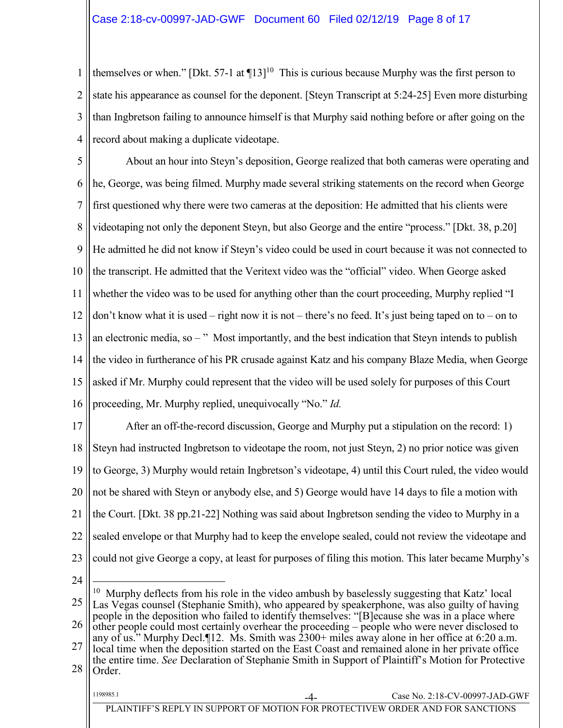1 2 3 4 themselves or when." [Dkt. 57-1 at  $\P$ 13]<sup>10</sup> This is curious because Murphy was the first person to state his appearance as counsel for the deponent. [Steyn Transcript at 5:24-25] Even more disturbing than Ingbretson failing to announce himself is that Murphy said nothing before or after going on the record about making a duplicate videotape.

5 6 7 8 9 10 11 12 13 14 15 16 About an hour into Steyn's deposition, George realized that both cameras were operating and he, George, was being filmed. Murphy made several striking statements on the record when George first questioned why there were two cameras at the deposition: He admitted that his clients were videotaping not only the deponent Steyn, but also George and the entire "process." [Dkt. 38, p.20] He admitted he did not know if Steyn's video could be used in court because it was not connected to the transcript. He admitted that the Veritext video was the "official" video. When George asked whether the video was to be used for anything other than the court proceeding, Murphy replied "I don't know what it is used – right now it is not – there's no feed. It's just being taped on to – on to an electronic media, so – " Most importantly, and the best indication that Steyn intends to publish the video in furtherance of his PR crusade against Katz and his company Blaze Media, when George asked if Mr. Murphy could represent that the video will be used solely for purposes of this Court proceeding, Mr. Murphy replied, unequivocally "No." *Id.*

17 18 19 20 21 22 23 After an off-the-record discussion, George and Murphy put a stipulation on the record: 1) Steyn had instructed Ingbretson to videotape the room, not just Steyn, 2) no prior notice was given to George, 3) Murphy would retain Ingbretson's videotape, 4) until this Court ruled, the video would not be shared with Steyn or anybody else, and 5) George would have 14 days to file a motion with the Court. [Dkt. 38 pp.21-22] Nothing was said about Ingbretson sending the video to Murphy in a sealed envelope or that Murphy had to keep the envelope sealed, could not review the videotape and could not give George a copy, at least for purposes of filing this motion. This later became Murphy's

24

 $\overline{a}$ 

25 26 27 <sup>10</sup> Murphy deflects from his role in the video ambush by baselessly suggesting that Katz' local Las Vegas counsel (Stephanie Smith), who appeared by speakerphone, was also guilty of having people in the deposition who failed to identify themselves: "[B]ecause she was in a place where other people could most certainly overhear the proceeding – people who were never disclosed to any of us." Murphy Decl.¶12. Ms. Smith was 2300+ miles away alone in her office at 6:20 a.m. local time when the deposition started on the East Coast and remained alone in her private office the entire time. *See* Declaration of Stephanie Smith in Support of Plaintiff's Motion for Protective

<sup>28</sup> Order.

| 1198985.                                                                       | -4- | Case No. $2:18$ -CV-00997-JAD-GWF |
|--------------------------------------------------------------------------------|-----|-----------------------------------|
| PLAINTIFF'S REPLY IN SUPPORT OF MOTION FOR PROTECTIVEW ORDER AND FOR SANCTIONS |     |                                   |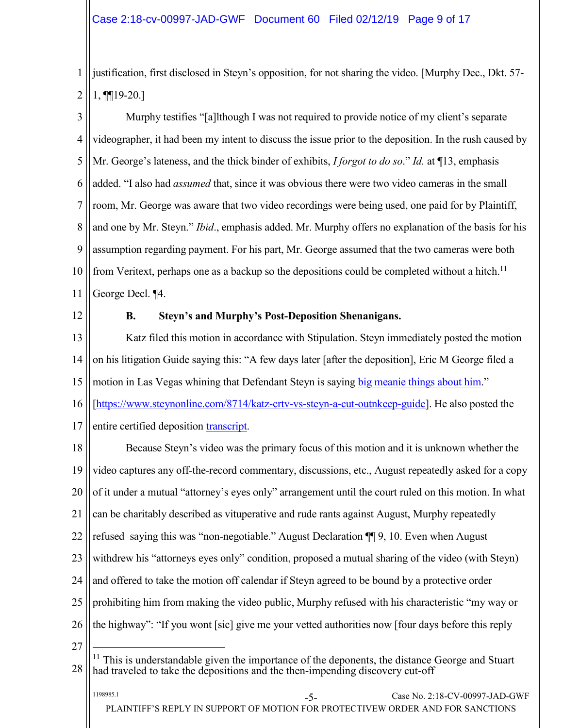1 2 justification, first disclosed in Steyn's opposition, for not sharing the video. [Murphy Dec., Dkt. 57- 1, ¶¶19-20.]

3 4 5 6 7 8 9 10 11 Murphy testifies "[a]lthough I was not required to provide notice of my client's separate videographer, it had been my intent to discuss the issue prior to the deposition. In the rush caused by Mr. George's lateness, and the thick binder of exhibits, *I forgot to do so*." *Id.* at ¶13, emphasis added. "I also had *assumed* that, since it was obvious there were two video cameras in the small room, Mr. George was aware that two video recordings were being used, one paid for by Plaintiff, and one by Mr. Steyn." *Ibid*., emphasis added. Mr. Murphy offers no explanation of the basis for his assumption regarding payment. For his part, Mr. George assumed that the two cameras were both from Veritext, perhaps one as a backup so the depositions could be completed without a hitch.<sup>11</sup> George Decl. ¶4.

<span id="page-8-0"></span>12

### **B. Steyn's and Murphy's Post-Deposition Shenanigans.**

13 14 15 Katz filed this motion in accordance with Stipulation. Steyn immediately posted the motion on his litigation Guide saying this: "A few days later [after the deposition], Eric M George filed a motion in Las Vegas whining that Defendant Steyn is saying [big meanie things about him.](https://www.steynonline.com/documents/9154.pdf)"

16 [\[https://www.steynonline.com/8714/katz-crtv-vs-steyn-a-cut-outnkeep-guide\]](https://www.steynonline.com/8714/katz-crtv-vs-steyn-a-cut-outnkeep-guide). He also posted the

17 entire certified deposition [transcript.](https://www.steynonline.com/documents/9152.pdf)

18 19 20 21 22 23 24 25 26 27 Because Steyn's video was the primary focus of this motion and it is unknown whether the video captures any off-the-record commentary, discussions, etc., August repeatedly asked for a copy of it under a mutual "attorney's eyes only" arrangement until the court ruled on this motion. In what can be charitably described as vituperative and rude rants against August, Murphy repeatedly refused–saying this was "non-negotiable." August Declaration ¶¶ 9, 10. Even when August withdrew his "attorneys eyes only" condition, proposed a mutual sharing of the video (with Steyn) and offered to take the motion off calendar if Steyn agreed to be bound by a protective order prohibiting him from making the video public, Murphy refused with his characteristic "my way or the highway": "If you wont [sic] give me your vetted authorities now [four days before this reply

28  $\overline{a}$  $11$  This is understandable given the importance of the deponents, the distance George and Stuart had traveled to take the depositions and the then-impending discovery cut-off

| 1198985.1                                                                      | - 1- | Case No. $2:18$ -CV-00997-JAD-GWF |
|--------------------------------------------------------------------------------|------|-----------------------------------|
| PLAINTIFF'S REPLY IN SUPPORT OF MOTION FOR PROTECTIVEW ORDER AND FOR SANCTIONS |      |                                   |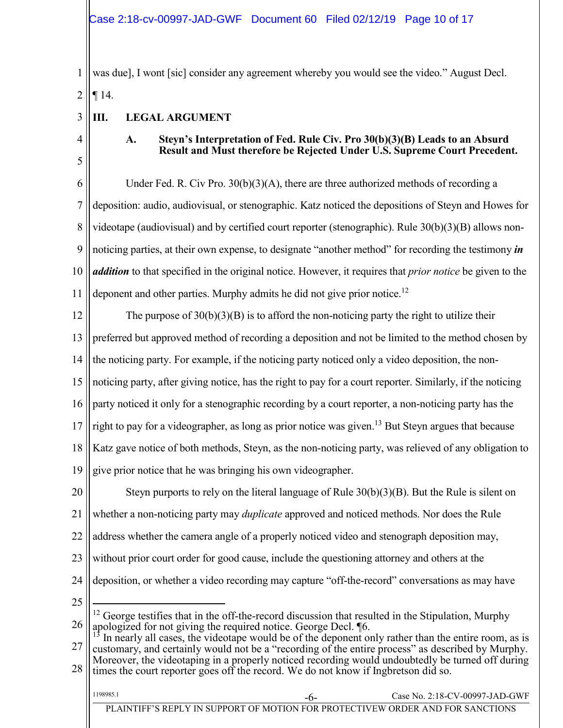1 2 was due], I wont [sic] consider any agreement whereby you would see the video." August Decl. ¶ 14.

- <span id="page-9-0"></span>**III. LEGAL ARGUMENT**
- <span id="page-9-1"></span>4

5

3

# <span id="page-9-3"></span><span id="page-9-2"></span>**A. Steyn's Interpretation of Fed. Rule Civ. Pro 30(b)(3)(B) Leads to an Absurd Result and Must therefore be Rejected Under U.S. Supreme Court Precedent.**

6 7 8 9 10 11 Under Fed. R. Civ Pro.  $30(b)(3)(A)$ , there are three authorized methods of recording a deposition: audio, audiovisual, or stenographic. Katz noticed the depositions of Steyn and Howes for videotape (audiovisual) and by certified court reporter (stenographic). Rule 30(b)(3)(B) allows nonnoticing parties, at their own expense, to designate "another method" for recording the testimony *in addition* to that specified in the original notice. However, it requires that *prior notice* be given to the deponent and other parties. Murphy admits he did not give prior notice.<sup>12</sup>

12 13 14 15 16 17 18 19 The purpose of  $30(b)(3)(B)$  is to afford the non-noticing party the right to utilize their preferred but approved method of recording a deposition and not be limited to the method chosen by the noticing party. For example, if the noticing party noticed only a video deposition, the nonnoticing party, after giving notice, has the right to pay for a court reporter. Similarly, if the noticing party noticed it only for a stenographic recording by a court reporter, a non-noticing party has the right to pay for a videographer, as long as prior notice was given. <sup>13</sup> But Steyn argues that because Katz gave notice of both methods, Steyn, as the non-noticing party, was relieved of any obligation to give prior notice that he was bringing his own videographer.

20 21 22 23 24 Steyn purports to rely on the literal language of Rule 30(b)(3)(B). But the Rule is silent on whether a non-noticing party may *duplicate* approved and noticed methods. Nor does the Rule address whether the camera angle of a properly noticed video and stenograph deposition may, without prior court order for good cause, include the questioning attorney and others at the deposition, or whether a video recording may capture "off-the-record" conversations as may have  $\overline{a}$ 

25

1198985.1

<sup>26</sup>  $12$  George testifies that in the off-the-record discussion that resulted in the Stipulation, Murphy apologized for not giving the required notice. George Decl. ¶6.

<sup>27</sup> 28  $13$  In nearly all cases, the videotape would be of the deponent only rather than the entire room, as is customary, and certainly would not be a "recording of the entire process" as described by Murphy. Moreover, the videotaping in a properly noticed recording would undoubtedly be turned off during times the court reporter goes off the record. We do not know if Ingbretson did so.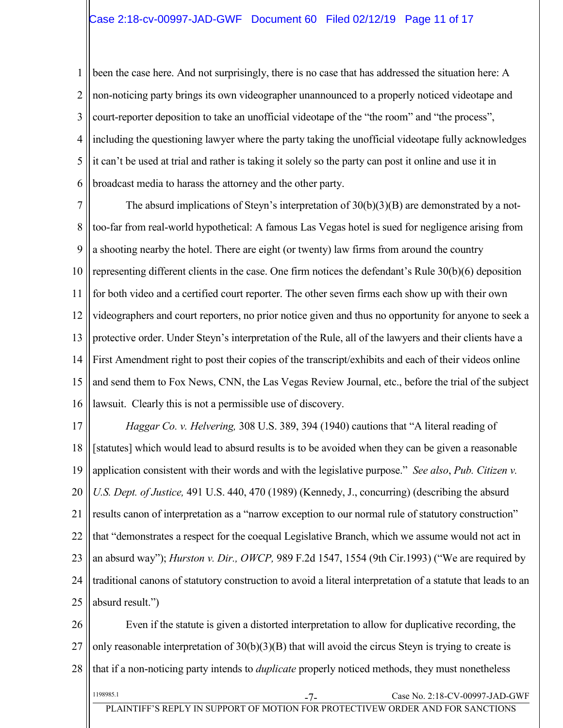1 2 3 4 5 6 been the case here. And not surprisingly, there is no case that has addressed the situation here: A non-noticing party brings its own videographer unannounced to a properly noticed videotape and court-reporter deposition to take an unofficial videotape of the "the room" and "the process", including the questioning lawyer where the party taking the unofficial videotape fully acknowledges it can't be used at trial and rather is taking it solely so the party can post it online and use it in broadcast media to harass the attorney and the other party.

7 8 9 10 11 12 13 14 15 16 The absurd implications of Steyn's interpretation of 30(b)(3)(B) are demonstrated by a nottoo-far from real-world hypothetical: A famous Las Vegas hotel is sued for negligence arising from a shooting nearby the hotel. There are eight (or twenty) law firms from around the country representing different clients in the case. One firm notices the defendant's Rule 30(b)(6) deposition for both video and a certified court reporter. The other seven firms each show up with their own videographers and court reporters, no prior notice given and thus no opportunity for anyone to seek a protective order. Under Steyn's interpretation of the Rule, all of the lawyers and their clients have a First Amendment right to post their copies of the transcript/exhibits and each of their videos online and send them to Fox News, CNN, the Las Vegas Review Journal, etc., before the trial of the subject lawsuit. Clearly this is not a permissible use of discovery.

<span id="page-10-2"></span><span id="page-10-0"></span>17 18 19 20 21 22 23 24 25 *Haggar Co. v. Helvering,* 308 U.S. 389, 394 (1940) cautions that "A literal reading of [statutes] which would lead to absurd results is to be avoided when they can be given a reasonable application consistent with their words and with the legislative purpose." *See also*, *Pub. Citizen v. U.S. Dept. of Justice,* 491 U.S. 440, 470 (1989) (Kennedy, J., concurring) (describing the absurd results canon of interpretation as a "narrow exception to our normal rule of statutory construction" that "demonstrates a respect for the coequal Legislative Branch, which we assume would not act in an absurd way"); *Hurston v. Dir., OWCP,* 989 F.2d 1547, 1554 (9th Cir.1993) ("We are required by traditional canons of statutory construction to avoid a literal interpretation of a statute that leads to an absurd result.")

<span id="page-10-1"></span>26 27 28 1198985.1 Case No. 2:18-CV-00997-JAD-GWF Even if the statute is given a distorted interpretation to allow for duplicative recording, the only reasonable interpretation of 30(b)(3)(B) that will avoid the circus Steyn is trying to create is that if a non-noticing party intends to *duplicate* properly noticed methods, they must nonetheless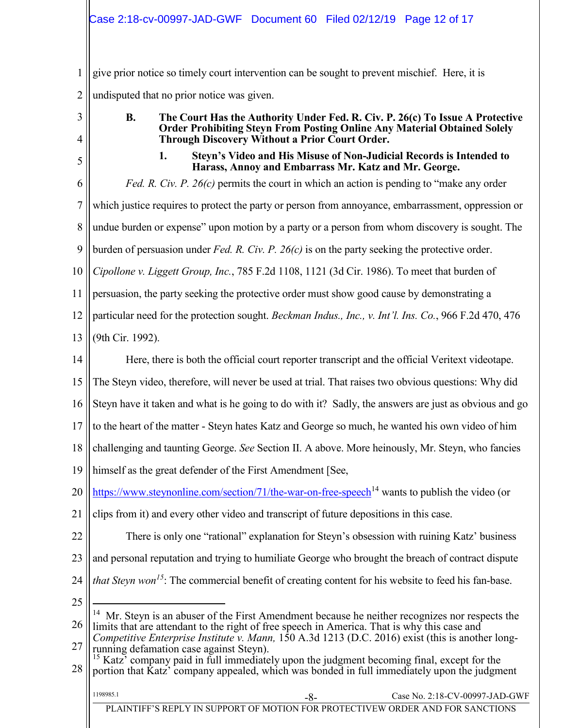1 2 give prior notice so timely court intervention can be sought to prevent mischief. Here, it is undisputed that no prior notice was given.

<span id="page-11-0"></span>3

4

<span id="page-11-1"></span>5

**B. The Court Has the Authority Under Fed. R. Civ. P. 26(c) To Issue A Protective Order Prohibiting Steyn From Posting Online Any Material Obtained Solely Through Discovery Without a Prior Court Order.** 

<span id="page-11-5"></span><span id="page-11-2"></span>**1. Steyn's Video and His Misuse of Non-Judicial Records is Intended to Harass, Annoy and Embarrass Mr. Katz and Mr. George.**

<span id="page-11-3"></span>6 7 8 9 10 11 12 13 14 15 16 17 18 19 *Fed. R. Civ. P. 26(c)* permits the court in which an action is pending to "make any order which justice requires to protect the party or person from annoyance, embarrassment, oppression or undue burden or expense" upon motion by a party or a person from whom discovery is sought. The burden of persuasion under *Fed. R. Civ. P. 26(c)* is on the party seeking the protective order. *Cipollone v. Liggett Group, Inc.*, 785 F.2d 1108, 1121 (3d Cir. 1986). To meet that burden of persuasion, the party seeking the protective order must show good cause by demonstrating a particular need for the protection sought. *Beckman Indus., Inc., v. Int'l. Ins. Co.*[, 966 F.2d 470, 476](https://advance.lexis.com/api/document?collection=cases&id=urn:contentItem:3S4X-3CB0-008H-V4D5-00000-00&context=)  [\(9th Cir. 1992\).](https://advance.lexis.com/api/document?collection=cases&id=urn:contentItem:3S4X-3CB0-008H-V4D5-00000-00&context=) Here, there is both the official court reporter transcript and the official Veritext videotape. The Steyn video, therefore, will never be used at trial. That raises two obvious questions: Why did Steyn have it taken and what is he going to do with it? Sadly, the answers are just as obvious and go to the heart of the matter - Steyn hates Katz and George so much, he wanted his own video of him challenging and taunting George. *See* Section II. A above. More heinously, Mr. Steyn, who fancies himself as the great defender of the First Amendment [See,

20 [https://www.steynonline.com/section/71/the-war-on-free-speech](#page-0-0)<sup>14</sup> wants to publish the video (or

21 clips from it) and every other video and transcript of future depositions in this case.

22 There is only one "rational" explanation for Steyn's obsession with ruining Katz' business

- 23 and personal reputation and trying to humiliate George who brought the breach of contract dispute
- 24 *that Steyn won<sup>15</sup>*: The commercial benefit of creating content for his website to feed his fan-base.
- 25

 $\overline{a}$ 

26 <sup>14</sup> Mr. Steyn is an abuser of the First Amendment because he neither recognizes nor respects the limits that are attendant to the right of free speech in America. That is why this case and

28 <sup>15</sup> Katz<sup>\*</sup> company paid in full immediately upon the judgment becoming final, except for the portion that Katz' company appealed, which was bonded in full immediately upon the judgment

<span id="page-11-4"></span><sup>27</sup> *Competitive Enterprise Institute v. Mann,* 150 A.3d 1213 (D.C. 2016) exist (this is another longrunning defamation case against Steyn).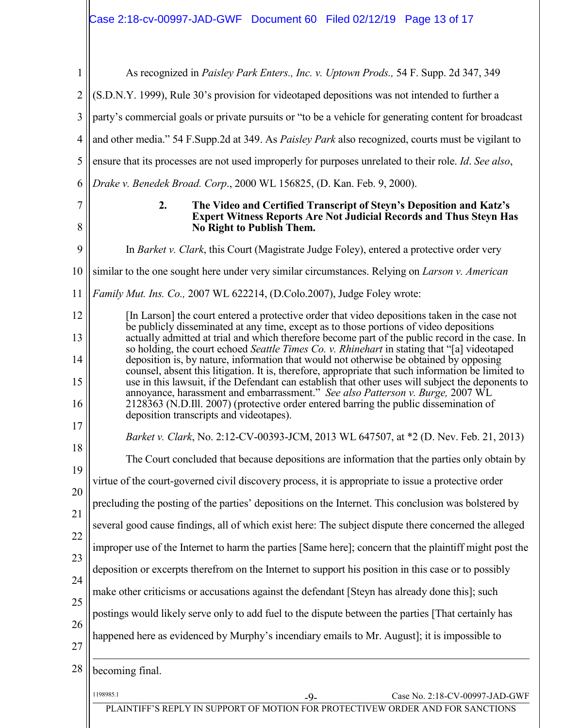# <span id="page-12-4"></span> $\rm \left| \right|$ Case 2:18-cv-00997-JAD-GWF Document 60 Filed 02/12/19 Page 13 of 17

<span id="page-12-6"></span><span id="page-12-3"></span><span id="page-12-2"></span><span id="page-12-0"></span>

| As recognized in Paisley Park Enters., Inc. v. Uptown Prods., 54 F. Supp. 2d 347, 349                                                                                                                              |
|--------------------------------------------------------------------------------------------------------------------------------------------------------------------------------------------------------------------|
| (S.D.N.Y. 1999), Rule 30's provision for videotaped depositions was not intended to further a                                                                                                                      |
| party's commercial goals or private pursuits or "to be a vehicle for generating content for broadcast                                                                                                              |
| and other media." 54 F.Supp.2d at 349. As Paisley Park also recognized, courts must be vigilant to                                                                                                                 |
| ensure that its processes are not used improperly for purposes unrelated to their role. Id. See also,                                                                                                              |
| Drake v. Benedek Broad. Corp., 2000 WL 156825, (D. Kan. Feb. 9, 2000).                                                                                                                                             |
| 2.<br>The Video and Certified Transcript of Steyn's Deposition and Katz's<br><b>Expert Witness Reports Are Not Judicial Records and Thus Steyn Has</b><br>No Right to Publish Them.                                |
| In Barket v. Clark, this Court (Magistrate Judge Foley), entered a protective order very                                                                                                                           |
| similar to the one sought here under very similar circumstances. Relying on <i>Larson v. American</i>                                                                                                              |
| Family Mut. Ins. Co., 2007 WL 622214, (D.Colo.2007), Judge Foley wrote:                                                                                                                                            |
| [In Larson] the court entered a protective order that video depositions taken in the case not<br>be publicly disseminated at any time, except as to those portions of video depositions                            |
| actually admitted at trial and which therefore become part of the public record in the case. In<br>so holding, the court echoed Seattle Times Co. v. Rhinehart in stating that "[a] videotaped                     |
| deposition is, by nature, information that would not otherwise be obtained by opposing                                                                                                                             |
| counsel, absent this litigation. It is, therefore, appropriate that such information be limited to<br>use in this lawsuit, if the Defendant can establish that other uses will subject the deponents to            |
| annoyance, harassment and embarrassment." See also Patterson v. Burge, 2007 WL<br>2128363 (N.D.Ill. 2007) (protective order entered barring the public dissemination of<br>deposition transcripts and videotapes). |
| Barket v. Clark, No. 2:12-CV-00393-JCM, 2013 WL 647507, at *2 (D. Nev. Feb. 21, 2013)                                                                                                                              |
| The Court concluded that because depositions are information that the parties only obtain by                                                                                                                       |
| virtue of the court-governed civil discovery process, it is appropriate to issue a protective order                                                                                                                |
|                                                                                                                                                                                                                    |
| precluding the posting of the parties' depositions on the Internet. This conclusion was bolstered by                                                                                                               |
| several good cause findings, all of which exist here: The subject dispute there concerned the alleged                                                                                                              |
| improper use of the Internet to harm the parties [Same here]; concern that the plaintiff might post the                                                                                                            |
| deposition or excerpts therefrom on the Internet to support his position in this case or to possibly                                                                                                               |
| make other criticisms or accusations against the defendant [Steyn has already done this]; such                                                                                                                     |
| postings would likely serve only to add fuel to the dispute between the parties [That certainly has                                                                                                                |
| happened here as evidenced by Murphy's incendiary emails to Mr. August]; it is impossible to                                                                                                                       |
| becoming final.                                                                                                                                                                                                    |
| 1198985.1<br>Case No. 2:18-CV-00997-JAD-GWF<br>$-9-$                                                                                                                                                               |
|                                                                                                                                                                                                                    |

<span id="page-12-5"></span><span id="page-12-1"></span>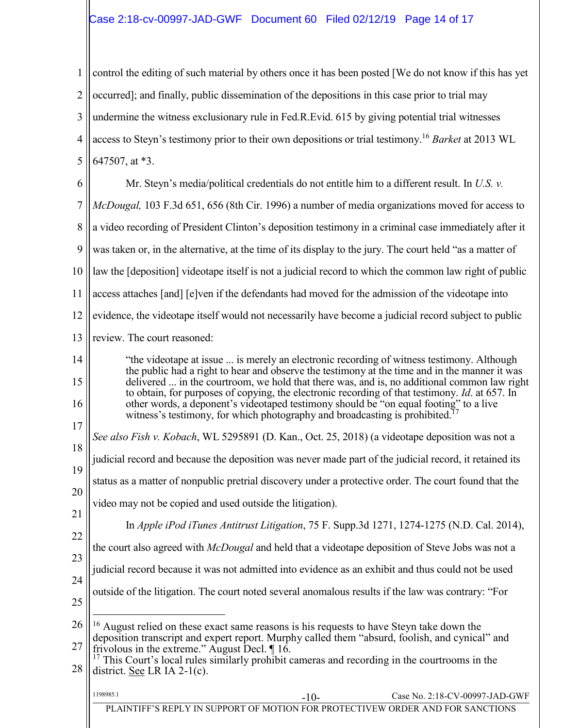# <span id="page-13-1"></span>Case 2:18-cv-00997-JAD-GWF Document 60 Filed 02/12/19 Page 14 of 17

<span id="page-13-4"></span>1 2 3 4 5 control the editing of such material by others once it has been posted [We do not know if this has yet occurred]; and finally, public dissemination of the depositions in this case prior to trial may undermine the witness exclusionary rule in Fed.R.Evid. 615 by giving potential trial witnesses access to Steyn's testimony prior to their own depositions or trial testimony.<sup>16</sup> *Barket* at 2013 WL 647507, at \*3.

<span id="page-13-3"></span>6 7 8 9 10 11 12 13 Mr. Steyn's media/political credentials do not entitle him to a different result. In *U.S. v. McDougal,* 103 F.3d 651, 656 (8th Cir. 1996) a number of media organizations moved for access to a video recording of President Clinton's deposition testimony in a criminal case immediately after it was taken or, in the alternative, at the time of its display to the jury. The court held "as a matter of law the [deposition] videotape itself is not a judicial record to which the common law right of public access attaches [and] [e]ven if the defendants had moved for the admission of the videotape into evidence, the videotape itself would not necessarily have become a judicial record subject to public review. The court reasoned:

14 15 16 "the videotape at issue ... is merely an electronic recording of witness testimony. Although the public had a right to hear and observe the testimony at the time and in the manner it was delivered ... in the courtroom, we hold that there was, and is, no additional common law right to obtain, for purposes of copying, the electronic recording of that testimony. *Id*. at 657. In other words, a deponent's videotaped testimony should be "on equal footing" to a live witness's testimony, for which photography and broadcasting is prohibited.<sup>17</sup>

<span id="page-13-2"></span>17 18 19 *See also Fish v. Kobach*, WL 5295891 (D. Kan., Oct. 25, 2018) (a videotape deposition was not a judicial record and because the deposition was never made part of the judicial record, it retained its

status as a matter of nonpublic pretrial discovery under a protective order. The court found that the

- 20 video may not be copied and used outside the litigation).
- 21 22
- <span id="page-13-0"></span>In *Apple iPod iTunes Antitrust Litigation*, 75 F. Supp.3d 1271, 1274-1275 (N.D. Cal. 2014),
- the court also agreed with *McDougal* and held that a videotape deposition of Steve Jobs was not a
- 23 judicial record because it was not admitted into evidence as an exhibit and thus could not be used
- 24 25 outside of the litigation. The court noted several anomalous results if the law was contrary: "For

| 1198985.1 | -111                                                                          | Case No. 2:18-CV-00997-JAD-GWF |
|-----------|-------------------------------------------------------------------------------|--------------------------------|
|           | LAINTIFF'S REPLY IN SUPPORT OF MOTION FOR PROTECTIVEW ORDER AND FOR SANCTIONS |                                |

<sup>26</sup> 27  $\overline{a}$ <sup>16</sup> August relied on these exact same reasons is his requests to have Steyn take down the deposition transcript and expert report. Murphy called them "absurd, foolish, and cynical" and

<sup>28</sup> frivolous in the extreme." August Decl. ¶ 16.  $17$  This Court's local rules similarly prohibit cameras and recording in the courtrooms in the district. See LR IA 2-1(c).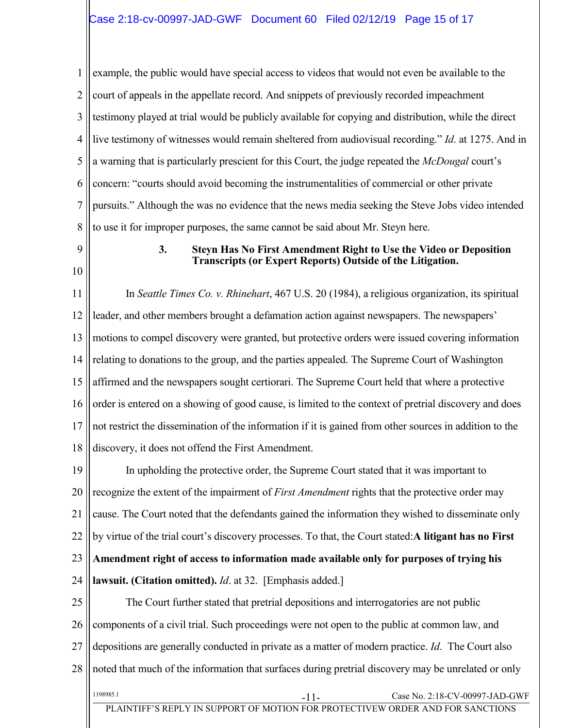1 2 3 4 5 6 7 8 example, the public would have special access to videos that would not even be available to the court of appeals in the appellate record. And snippets of previously recorded impeachment testimony played at trial would be publicly available for copying and distribution, while the direct live testimony of witnesses would remain sheltered from audiovisual recording." *Id*. at 1275. And in a warning that is particularly prescient for this Court, the judge repeated the *McDougal* court's concern: "courts should avoid becoming the instrumentalities of commercial or other private pursuits." Although the was no evidence that the news media seeking the Steve Jobs video intended to use it for improper purposes, the same cannot be said about Mr. Steyn here.

- <span id="page-14-0"></span>9
- 10

#### <span id="page-14-1"></span>**3. Steyn Has No First Amendment Right to Use the Video or Deposition Transcripts (or Expert Reports) Outside of the Litigation.**

11 12 13 14 15 16 17 18 In *Seattle Times Co. v. Rhinehart*[, 467 U.S. 20](https://advance.lexis.com/api/document?collection=cases&id=urn:contentItem:3S4X-3DJ0-003B-S3MT-00000-00&context=) (1984), a religious organization, its spiritual leader, and other members brought a defamation action against newspapers. The newspapers' motions to compel discovery were granted, but protective orders were issued covering information relating to donations to the group, and the parties appealed. The Supreme Court of Washington affirmed and the newspapers sought certiorari. The Supreme Court held that where a protective order is entered on a showing of good cause, is limited to the context of pretrial discovery and does not restrict the dissemination of the information if it is gained from other sources in addition to the discovery, it does not offend the First Amendment.

19 20 21 22 23 24 In upholding the protective order, the Supreme Court stated that it was important to recognize the extent of the impairment of *First Amendment* rights that the protective order may cause. The Court noted that the defendants gained the information they wished to disseminate only by virtue of the trial court's discovery processes. To that, the Court stated:**A litigant has no First Amendment right of access to information made available only for purposes of trying his lawsuit. (Citation omitted).** *[Id](https://advance.lexis.com/api/document?collection=cases&id=urn:contentItem:3S4X-3DJ0-003B-S3MT-00000-00&context=)*. at 32. [Emphasis added.]

25 26 27 28 1198985.1 V-00997-JAD-GWF PLAINTIFF'S REPLY IN SUPPORT OF MOTION FOR PROTECTIVEW ORDER AND FOR SANCTIONS The Court further stated that pretrial depositions and interrogatories are not public components of a civil trial. Such proceedings were not open to the public at common law, and depositions are generally conducted in private as a matter of modern practice. *[Id](https://advance.lexis.com/api/document?collection=cases&id=urn:contentItem:3S4X-3DJ0-003B-S3MT-00000-00&context=)*. The Court also noted that much of the information that surfaces during pretrial discovery may be unrelated or only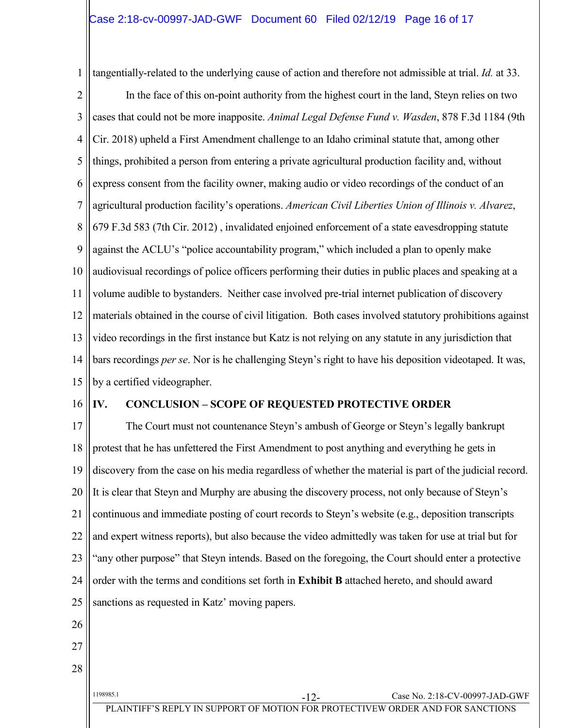<span id="page-15-3"></span><span id="page-15-2"></span>1 tangentially-related to the underlying cause of action and therefore not admissible at trial. *[Id.](https://advance.lexis.com/api/document?collection=cases&id=urn:contentItem:3S4X-3DJ0-003B-S3MT-00000-00&context=)* [at 33.](https://advance.lexis.com/api/document?collection=cases&id=urn:contentItem:3S4X-3DJ0-003B-S3MT-00000-00&context=)

<span id="page-15-1"></span>2 3 4 5 6 7 8 9 10 11 12 13 14 15 In the face of this on-point authority from the highest court in the land, Steyn relies on two cases that could not be more inapposite. *Animal Legal Defense Fund v. Wasden*, 878 F.3d 1184 (9th Cir. 2018) upheld a First Amendment challenge to an Idaho criminal statute that, among other things, prohibited a person from entering a private agricultural production facility and, without express consent from the facility owner, making audio or video recordings of the conduct of an agricultural production facility's operations. *American Civil Liberties Union of Illinois v. Alvarez*, 679 F.3d 583 (7th Cir. 2012) , invalidated enjoined enforcement of a state eavesdropping statute against the ACLU's "police accountability program," which included a plan to openly make audiovisual recordings of police officers performing their duties in public places and speaking at a volume audible to bystanders. Neither case involved pre-trial internet publication of discovery materials obtained in the course of civil litigation. Both cases involved statutory prohibitions against video recordings in the first instance but Katz is not relying on any statute in any jurisdiction that bars recordings *per se*. Nor is he challenging Steyn's right to have his deposition videotaped. It was, by a certified videographer.

16

#### <span id="page-15-0"></span>**IV. CONCLUSION – SCOPE OF REQUESTED PROTECTIVE ORDER**

17 18 19 20 21 22 23 24 25 The Court must not countenance Steyn's ambush of George or Steyn's legally bankrupt protest that he has unfettered the First Amendment to post anything and everything he gets in discovery from the case on his media regardless of whether the material is part of the judicial record. It is clear that Steyn and Murphy are abusing the discovery process, not only because of Steyn's continuous and immediate posting of court records to Steyn's website (e.g., deposition transcripts and expert witness reports), but also because the video admittedly was taken for use at trial but for "any other purpose" that Steyn intends. Based on the foregoing, the Court should enter a protective order with the terms and conditions set forth in **Exhibit B** attached hereto, and should award sanctions as requested in Katz' moving papers.

- 26
- 27
- 28